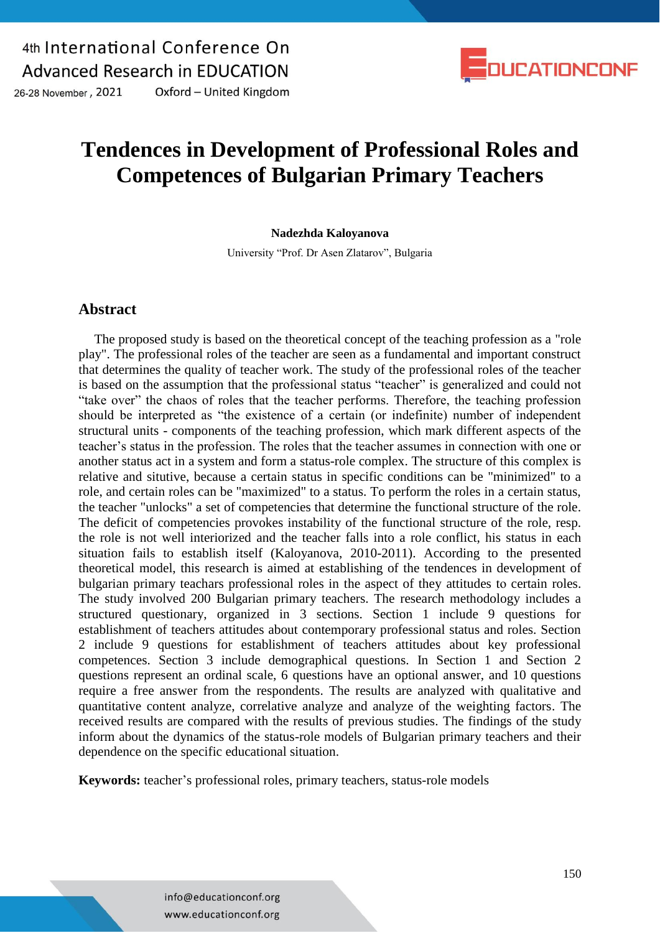

26-28 November, 2021 Oxford - United Kingdom

# **Tendences in Development of Professional Roles and Competences of Bulgarian Primary Teachers**

#### **Nadezhda Kaloyanova**

University "Prof. Dr Asen Zlatarov", Bulgaria

#### **Abstract**

The proposed study is based on the theoretical concept of the teaching profession as a "role play". The professional roles of the teacher are seen as a fundamental and important construct that determines the quality of teacher work. The study of the professional roles of the teacher is based on the assumption that the professional status "teacher" is generalized and could not "take over" the chaos of roles that the teacher performs. Therefore, the teaching profession should be interpreted as "the existence of a certain (or indefinite) number of independent structural units - components of the teaching profession, which mark different aspects of the teacher's status in the profession. The roles that the teacher assumes in connection with one or another status act in a system and form a status-role complex. The structure of this complex is relative and situtive, because a certain status in specific conditions can be "minimized" to a role, and certain roles can be "maximized" to a status. To perform the roles in a certain status, the teacher "unlocks" a set of competencies that determine the functional structure of the role. The deficit of competencies provokes instability of the functional structure of the role, resp. the role is not well interiorized and the teacher falls into a role conflict, his status in each situation fails to establish itself (Kaloyanova, 2010-2011). According to the presented theoretical model, this research is aimed at establishing of the tendences in development of bulgarian primary teachars professional roles in the aspect of they attitudes tо certain roles. The study involved 200 Bulgarian primary teachers. The research methodology includes a structured questionary, organized in 3 sections. Section 1 include 9 questions for establishment of teachers attitudes about contemporary professional status and roles. Section 2 include 9 questions for establishment of teachers attitudes about key professional competences. Section 3 include demographical questions. In Section 1 and Section 2 questions represent an ordinal scale, 6 questions have an optional answer, and 10 questions require a free answer from the respondents. The results are analyzed with qualitative and quantitative content analyze, correlative analyze and analyze of the weighting factors. The received results are compared with the results of previous studies. The findings of the study inform about the dynamics of the status-role models of Bulgarian primary teachers and their dependence on the specific educational situation.

**Keywords:** teacher's professional roles, primary teachers, status-role models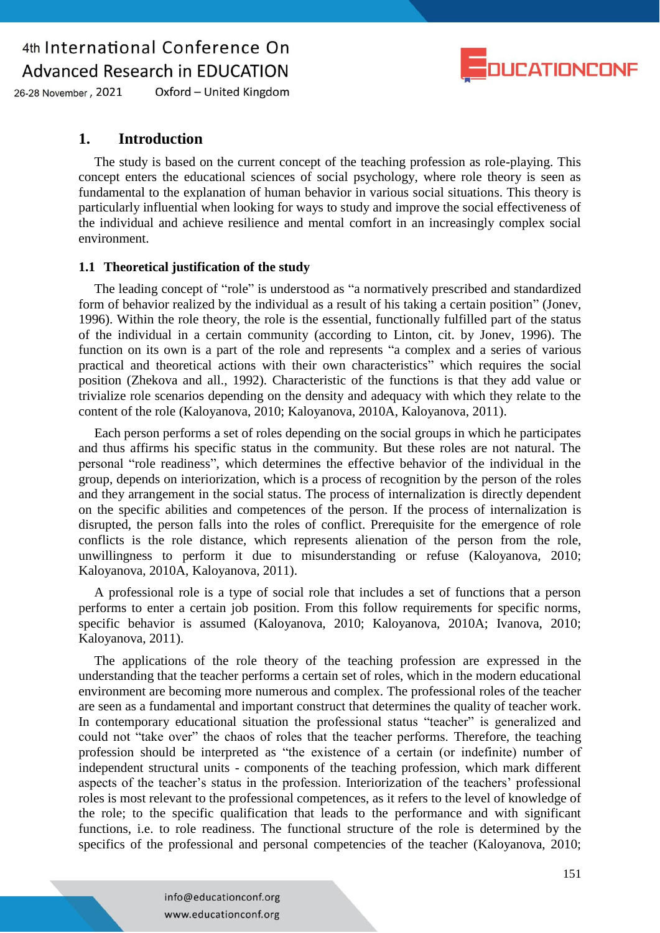

26-28 November, 2021 Oxford - United Kingdom

#### **1. Introduction**

The study is based on the current concept of the teaching profession as role-playing. This concept enters the educational sciences of social psychology, where role theory is seen as fundamental to the explanation of human behavior in various social situations. This theory is particularly influential when looking for ways to study and improve the social effectiveness of the individual and achieve resilience and mental comfort in an increasingly complex social environment.

#### **1.1 Theoretical justification of the study**

The leading concept of "role" is understood as "a normatively prescribed and standardized form of behavior realized by the individual as a result of his taking a certain position" (Jonev, 1996). Within the role theory, the role is the essential, functionally fulfilled part of the status of the individual in a certain community (according to Linton, cit. by Jonev, 1996). The function on its own is a part of the role and represents "a complex and a series of various practical and theoretical actions with their own characteristics" which requires the social position (Zhekova and all., 1992). Characteristic of the functions is that they add value or trivialize role scenarios depending on the density and adequacy with which they relate to the content of the role (Kaloyanova, 2010; Kaloyanova, 2010A, Kaloyanova, 2011).

Each person performs a set of roles depending on the social groups in which he participates and thus affirms his specific status in the community. But these roles are not natural. The personal "role readiness", which determines the effective behavior of the individual in the group, depends on interiorization, which is a process of recognition by the person of the roles and they arrangement in the social status. The process of internalization is directly dependent on the specific abilities and competences of the person. If the process of internalization is disrupted, the person falls into the roles of conflict. Prerequisite for the emergence of role conflicts is the role distance, which represents alienation of the person from the role, unwillingness to perform it due to misunderstanding or refuse (Kaloyanova, 2010; Kaloyanova, 2010A, Kaloyanova, 2011).

A professional role is a type of social role that includes a set of functions that a person performs to enter a certain job position. From this follow requirements for specific norms, specific behavior is assumed (Kaloyanova, 2010; Kaloyanova, 2010A; Ivanova, 2010; Kaloyanova, 2011).

The applications of the role theory of the teaching profession are expressed in the understanding that the teacher performs a certain set of roles, which in the modern educational environment are becoming more numerous and complex. The professional roles of the teacher are seen as a fundamental and important construct that determines the quality of teacher work. In contemporary educational situation the professional status "teacher" is generalized and could not "take over" the chaos of roles that the teacher performs. Therefore, the teaching profession should be interpreted as "the existence of a certain (or indefinite) number of independent structural units - components of the teaching profession, which mark different aspects of the teacher's status in the profession. Interiorization of the teachers' professional roles is most relevant to the professional competences, as it refers to the level of knowledge of the role; to the specific qualification that leads to the performance and with significant functions, i.e. to role readiness. The functional structure of the role is determined by the specifics of the professional and personal competencies of the teacher (Kaloyanova, 2010;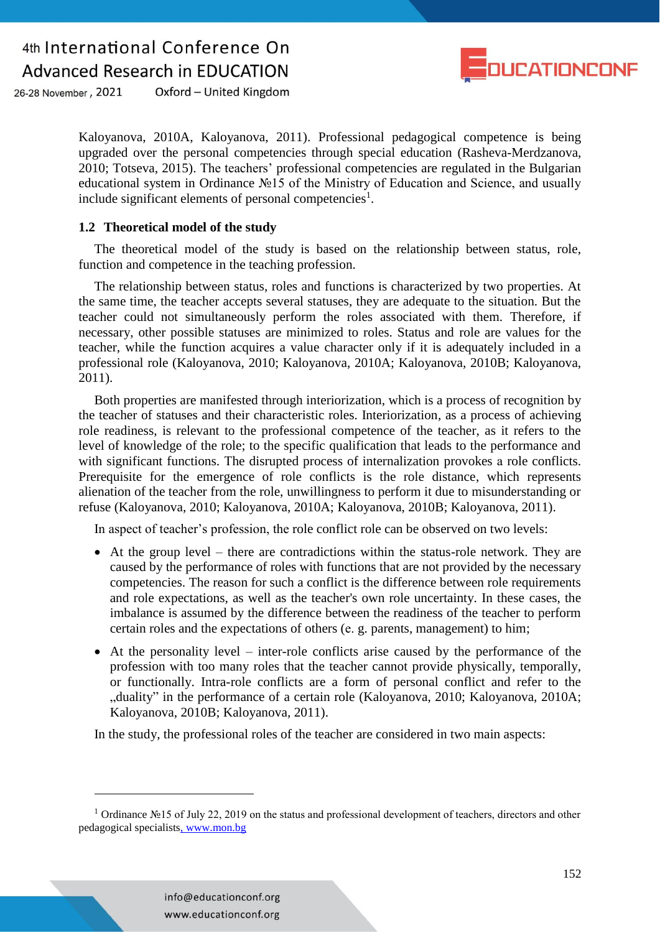

26-28 November, 2021 Oxford - United Kingdom

> Kaloyanova, 2010A, Kaloyanova, 2011). Professional pedagogical competence is being upgraded over the personal competencies through special education (Rasheva-Merdzanova, 2010; Totseva, 2015). The teachers' professional competencies are regulated in the Bulgarian educational system in Ordinance №15 of the Ministry of Education and Science, and usually include significant elements of personal competencies<sup>1</sup>.

#### **1.2 Theoretical model of the study**

The theoretical model of the study is based on the relationship between status, role, function and competence in the teaching profession.

The relationship between status, roles and functions is characterized by two properties. At the same time, the teacher accepts several statuses, they are adequate to the situation. But the teacher could not simultaneously perform the roles associated with them. Therefore, if necessary, other possible statuses are minimized to roles. Status and role are values for the teacher, while the function acquires a value character only if it is adequately included in a professional role (Kaloyanova, 2010; Kaloyanova, 2010A; Kaloyanova, 2010B; Kaloyanova, 2011).

Both properties are manifested through interiorization, which is a process of recognition by the teacher of statuses and their characteristic roles. Interiorization, as a process of achieving role readiness, is relevant to the professional competence of the teacher, as it refers to the level of knowledge of the role; to the specific qualification that leads to the performance and with significant functions. Тhe disrupted process of internalization provokes а role conflicts. Prerequisite for the emergence of role conflicts is the role distance, which represents alienation of the teacher from the role, unwillingness to perform it due to misunderstanding or refuse (Kaloyanova, 2010; Kaloyanova, 2010A; Kaloyanova, 2010B; Kaloyanova, 2011).

In aspect of teacher's profession, the role conflict role can be observed on two levels:

- At the group level there are contradictions within the status-role network. They are caused by the performance of roles with functions that are not provided by the necessary competencies. The reason for such a conflict is the difference between role requirements and role expectations, as well as the teacher's own role uncertainty. In these cases, the imbalance is assumed by the difference between the readiness of the teacher to perform certain roles and the expectations of others (е. g. parents, management) to him;
- At the personality level inter-role conflicts arise caused by the performance of the profession with too many roles that the teacher cannot provide physically, temporally, or functionally. Intra-role conflicts are a form of personal conflict and refer to the "duality" in the performance of a certain role (Kaloyanova, 2010; Kaloyanova, 2010A; Kaloyanova, 2010B; Kaloyanova, 2011).

In the study, the professional roles of the teacher are considered in two main aspects:

1

<sup>1</sup> Ordinance №15 of July 22, 2019 on the status and professional development of teachers, directors and other pedagogical specialists, www.mon.bg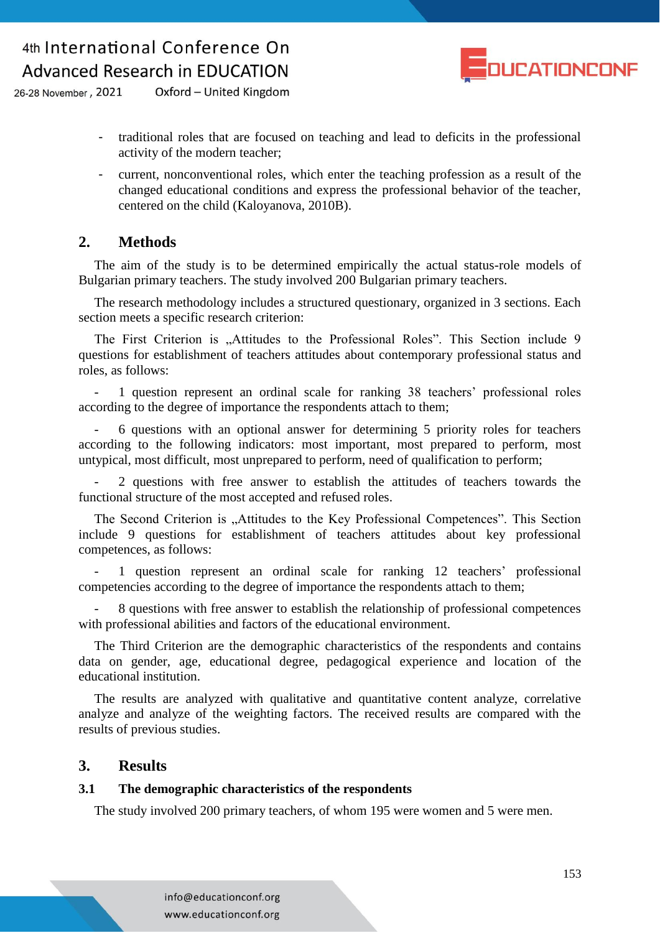

26-28 November, 2021 Oxford - United Kingdom

- traditional roles that are focused on teaching and lead to deficits in the professional activity of the modern teacher;
- current, nonconventional roles, which enter the teaching profession as a result of the changed educational conditions and express the professional behavior of the teacher, centered on the child (Kaloyanova, 2010B).

### **2. Methods**

The aim of the study is to be determined empirically the actual status-role models of Bulgarian primary teachers. The study involved 200 Bulgarian primary teachers.

The research methodology includes a structured questionary, organized in 3 sections. Each section meets a specific research criterion:

The First Criterion is "Attitudes to the Professional Roles". This Section include 9 questions for establishment of teachers attitudes about contemporary professional status and roles, as follows:

- 1 question represent an ordinal scale for ranking 38 teachers' professional roles according to the degree of importance the respondents attach to them;

- 6 questions with an optional answer for determining 5 priority roles for teachers according to the following indicators: most important, most prepared to perform, most untypical, most difficult, most unprepared to perform, need of qualification to perform;

2 questions with free answer to establish the attitudes of teachers towards the functional structure of the most accepted and refused roles.

The Second Criterion is "Attitudes to the Key Professional Competences". This Section include 9 questions for establishment of teachers attitudes about key professional competences, as follows:

1 question represent an ordinal scale for ranking 12 teachers' professional competencies according to the degree of importance the respondents attach to them;

- 8 questions with free answer to establish the relationship of professional competences with professional abilities and factors of the educational environment.

The Third Criterion are the demographic characteristics of the respondents and contains data on gender, age, educational degree, pedagogical experience and location of the educational institution.

The results are analyzed with qualitative and quantitative content analyze, correlative analyze and analyze of the weighting factors. The received results are compared with the results of previous studies.

### **3. Results**

#### **3.1 The demographic characteristics of the respondents**

The study involved 200 primary teachers, of whom 195 were women and 5 were men.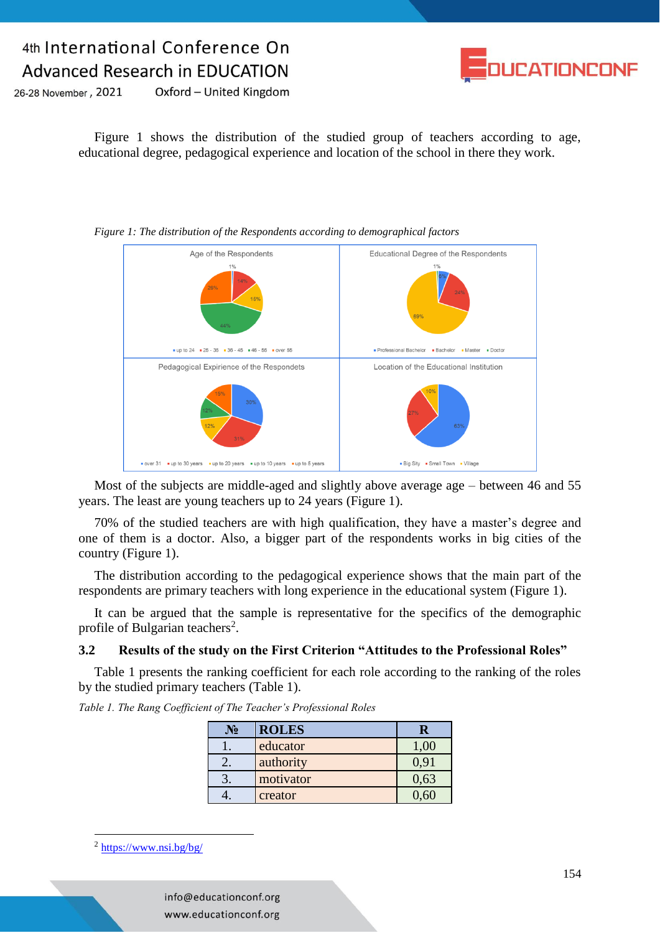

26-28 November, 2021 Oxford - United Kingdom

> Figure 1 shows the distribution of the studied group of teachers according to age, educational degree, pedagogical experience and location of the school in there they work.



*Figure 1: The distribution of the Respondents according to demographical factors* 

Most of the subjects are middle-aged and slightly above average age – between 46 and 55 years. The least are young teachers up to 24 years (Figure 1).

70% of the studied teachers are with high qualification, they have a master's degree and one of them is a doctor. Also, a bigger part of the respondents works in big cities of the country (Figure 1).

The distribution according to the pedagogical experience shows that the main part of the respondents are primary teachers with long experience in the educational system (Figure 1).

It can be argued that the sample is representative for the specifics of the demographic profile of Bulgarian teachers<sup>2</sup>.

#### **3.2 Results of the study on the First Criterion "Attitudes to the Professional Roles"**

Table 1 presents the ranking coefficient for each role according to the ranking of the roles by the studied primary teachers (Table 1).

*Table 1. The Rang Coefficient of The Teacher's Professional Roles*

| $\mathbf{N_2}$ | <b>ROLES</b> |       |
|----------------|--------------|-------|
|                | educator     | UU. I |
|                | authority    | 0,91  |
|                | motivator    | 0,63  |
|                | creator      |       |

 $^2$  <https://www.nsi.bg/bg/>

<u>.</u>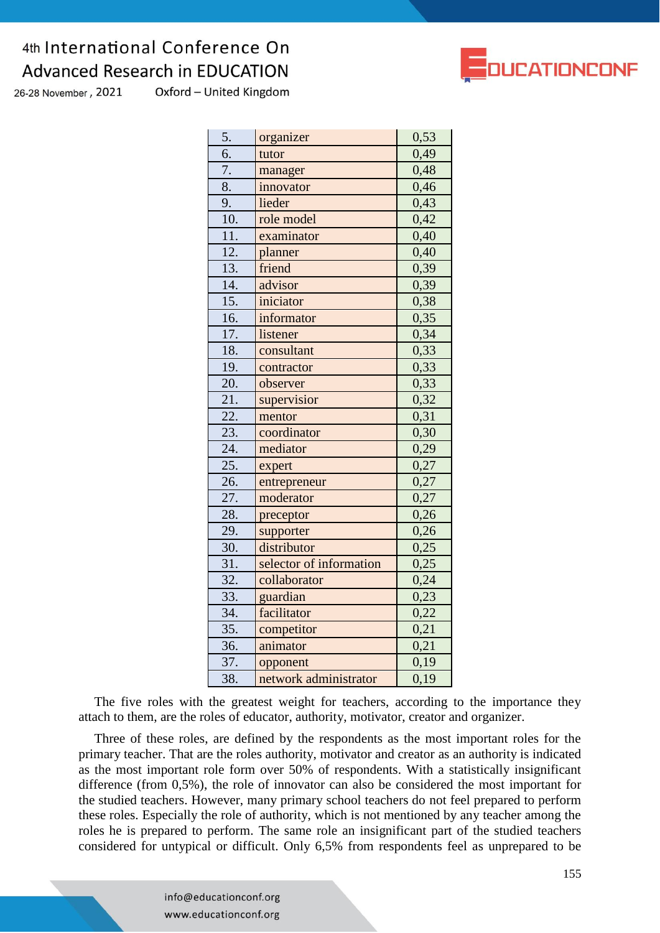Oxford - United Kingdom 26-28 November, 2021

| 5.                | organizer               | 0,53 |
|-------------------|-------------------------|------|
| $\overline{6}$ .  | tutor                   | 0,49 |
| 7.                | manager                 | 0,48 |
| 8.                | innovator               | 0,46 |
| 9.                | lieder                  | 0,43 |
| 10.               | role model              | 0,42 |
| 11.               | examinator              | 0,40 |
| 12.               | planner                 | 0,40 |
| 13.               | friend                  | 0,39 |
| 14.               | advisor                 | 0,39 |
| 15.               | iniciator               | 0,38 |
| 16.               | informator              | 0,35 |
| 17.               | listener                | 0,34 |
| 18.               | consultant              | 0,33 |
| 19.               | contractor              | 0,33 |
| $\overline{20}$ . | observer                | 0,33 |
| 21.               | supervisior             | 0,32 |
| 22.               | mentor                  | 0,31 |
| 23.               | coordinator             | 0,30 |
| 24.               | mediator                | 0,29 |
| 25.               | expert                  | 0,27 |
| 26.               | entrepreneur            | 0,27 |
| 27.               | moderator               | 0,27 |
| 28.               | preceptor               | 0,26 |
| 29.               | supporter               | 0,26 |
| 30.               | distributor             | 0,25 |
| 31.               | selector of information | 0,25 |
| 32.               | collaborator            | 0,24 |
| 33.               | guardian                | 0,23 |
| 34.               | facilitator             | 0,22 |
| 35.               | competitor              | 0,21 |
| 36.               | animator                | 0,21 |
| 37.               | opponent                | 0,19 |
| 38.               | network administrator   | 0,19 |

The five roles with the greatest weight for teachers, according to the importance they attach to them, are the roles of educator, authority, motivator, creator and organizer.

Three of these roles, are defined by the respondents as the most important roles for the primary teacher. That are the roles authority, motivator and creator as an authority is indicated as the most important role form over 50% of respondents. With a statistically insignificant difference (from 0,5%), the role of innovator can also be considered the most important for the studied teachers. However, many primary school teachers do not feel prepared to perform these roles. Especially the role of authority, which is not mentioned by any teacher among the roles he is prepared to perform. The same role an insignificant part of the studied teachers considered for untypical or difficult. Only 6,5% from respondents feel as unprepared to be



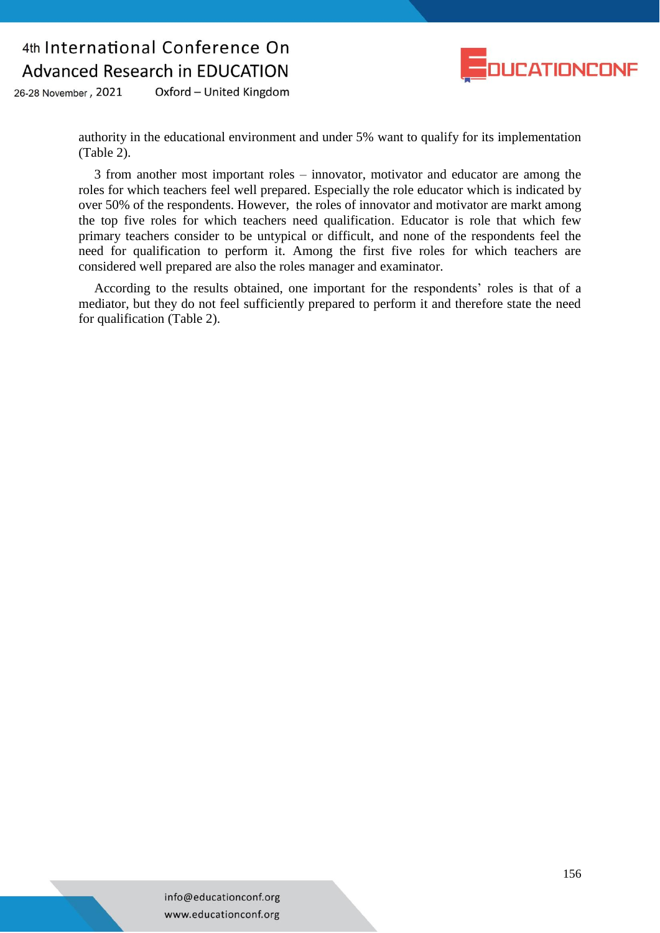

Oxford - United Kingdom 26-28 November, 2021

> authority in the educational environment and under 5% want to qualify for its implementation (Table 2).

> 3 from another most important roles – innovator, motivator and educator are among the roles for which teachers feel well prepared. Especially the role educator which is indicated by over 50% of the respondents. However, the roles of innovator and motivator are markt among the top five roles for which teachers need qualification. Еducator is role that which few primary teachers consider to be untypical or difficult, and none of the respondents feel the need for qualification to perform it. Among the first five roles for which teachers are considered well prepared are also the roles manager and examinator.

> According to the results obtained, one important for the respondents' roles is that of a mediator, but they do not feel sufficiently prepared to perform it and therefore state the need for qualification (Table 2).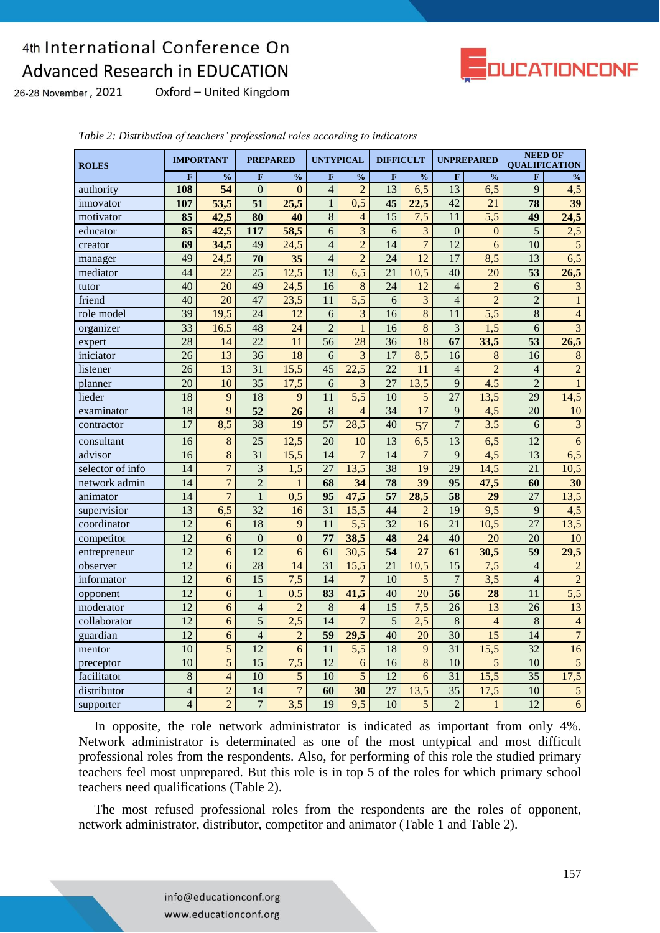

26-28 November, 2021

Oxford - United Kingdom

| <b>ROLES</b>     |                          | <b>IMPORTANT</b> |                  | <b>PREPARED</b>  | <b>UNTYPICAL</b>         |                         | <b>DIFFICULT</b> |                  | <b>UNPREPARED</b> |                  | <b>NEED OF</b><br><b>QUALIFICATION</b> |                         |
|------------------|--------------------------|------------------|------------------|------------------|--------------------------|-------------------------|------------------|------------------|-------------------|------------------|----------------------------------------|-------------------------|
|                  | $\mathbf{F}$             | $\frac{0}{0}$    | $\mathbf{F}$     | $\frac{0}{0}$    | F                        | $\frac{0}{0}$           | $\mathbf{F}$     | $\frac{0}{0}$    | $\mathbf{F}$      | $\frac{0}{0}$    | $\mathbf{F}$                           | $\frac{0}{0}$           |
| authority        | 108                      | 54               | $\theta$         | $\Omega$         | $\overline{4}$           | $\overline{2}$          | 13               | 6,5              | 13                | 6,5              | 9                                      | 4,5                     |
| innovator        | 107                      | 53,5             | 51               | 25,5             | $\mathbf{1}$             | 0,5                     | 45               | 22,5             | 42                | 21               | 78                                     | 39                      |
| motivator        | 85                       | 42,5             | 80               | 40               | 8                        | $\overline{4}$          | 15               | 7,5              | 11                | 5,5              | 49                                     | 24,5                    |
| educator         | 85                       | 42,5             | $\overline{117}$ | 58,5             | $\overline{6}$           | $\overline{3}$          | 6                | 3                | $\overline{0}$    | $\theta$         | $\overline{5}$                         | $\overline{2,5}$        |
| creator          | 69                       | 34,5             | 49               | 24,5             | $\overline{4}$           | $\overline{2}$          | $\overline{14}$  | $\overline{7}$   | $\overline{12}$   | 6                | $\overline{10}$                        | $\overline{5}$          |
| manager          | 49                       | 24,5             | 70               | 35               | $\overline{4}$           | $\overline{2}$          | 24               | $\overline{12}$  | $\overline{17}$   | 8,5              | 13                                     | 6,5                     |
| mediator         | 44                       | 22               | 25               | 12,5             | 13                       | 6,5                     | 21               | 10,5             | 40                | 20               | 53                                     | 26,5                    |
| tutor            | 40                       | 20               | 49               | 24,5             | 16                       | 8                       | 24               | $\overline{12}$  | $\overline{4}$    | $\overline{2}$   | 6                                      | $\overline{\mathbf{3}}$ |
| friend           | 40                       | 20               | 47               | 23,5             | 11                       | $\overline{5,5}$        | 6                | $\overline{3}$   | $\overline{4}$    | $\overline{2}$   | $\overline{2}$                         | $\mathbf{1}$            |
| role model       | $\overline{39}$          | 19,5             | $\overline{24}$  | 12               | 6                        | $\overline{\mathbf{3}}$ | 16               | $\overline{8}$   | 11                | $\overline{5,5}$ | $\overline{8}$                         | $\overline{4}$          |
| organizer        | $\overline{33}$          | 16,5             | 48               | 24               | $\overline{2}$           | $\overline{1}$          | 16               | $\overline{8}$   | $\overline{3}$    | $\overline{1,5}$ | 6                                      | $\overline{3}$          |
| expert           | 28                       | 14               | $\overline{22}$  | 11               | $\overline{56}$          | $\overline{28}$         | $\overline{36}$  | $\overline{18}$  | 67                | 33,5             | 53                                     | $\overline{26,5}$       |
| iniciator        | 26                       | 13               | 36               | 18               | 6                        | $\overline{3}$          | $\overline{17}$  | 8,5              | 16                | 8                | 16                                     | $\overline{8}$          |
| listener         | $\overline{26}$          | 13               | $\overline{31}$  | 15,5             | $\overline{45}$          | 22.5                    | $\overline{22}$  | 11               | $\overline{4}$    | $\overline{2}$   | $\overline{4}$                         | $\overline{2}$          |
| planner          | 20                       | 10               | 35               | 17,5             | 6                        | $\overline{3}$          | 27               | 13,5             | $\overline{9}$    | 4.5              | $\overline{2}$                         | $\mathbf{1}$            |
| lieder           | $\overline{18}$          | 9                | $\overline{18}$  | 9                | $\overline{11}$          | 5,5                     | 10               | 5                | $\overline{27}$   | 13,5             | $\overline{29}$                        | 14,5                    |
| examinator       | $\overline{18}$          | 9                | $\overline{52}$  | 26               | 8                        | $\overline{4}$          | $\overline{34}$  | 17               | 9                 | 4,5              | $\overline{20}$                        | $\overline{10}$         |
| contractor       | $\overline{17}$          | 8,5              | $\overline{38}$  | $\overline{19}$  | $\overline{57}$          | 28,5                    | 40               | 57               | $\overline{7}$    | $\overline{3.5}$ | 6                                      | $\overline{\mathbf{3}}$ |
| consultant       | 16                       | 8                | 25               | 12,5             | 20                       | 10                      | 13               | 6,5              | $\overline{13}$   | 6,5              | $\overline{12}$                        | $\overline{6}$          |
| advisor          | $\overline{16}$          | 8                | 31               | 15,5             | 14                       | $\overline{7}$          | 14               | $\overline{7}$   | $\overline{9}$    | 4,5              | $\overline{13}$                        | $\overline{6,5}$        |
| selector of info | 14                       | $\overline{7}$   | $\overline{3}$   | 1,5              | 27                       | 13,5                    | 38               | $\overline{19}$  | 29                | 14,5             | 21                                     | $\overline{10,5}$       |
| network admin    | 14                       | $\overline{7}$   | $\overline{2}$   | $\mathbf{1}$     | 68                       | 34                      | 78               | 39               | 95                | 47,5             | 60                                     | 30                      |
| animator         | 14                       | $\overline{7}$   | $\mathbf{1}$     | 0,5              | 95                       | 47,5                    | $\overline{57}$  | 28,5             | 58                | 29               | 27                                     | 13,5                    |
| supervisior      | $\overline{13}$          | $\overline{6,5}$ | $\overline{32}$  | 16               | $\overline{31}$          | 15,5                    | $\overline{44}$  | $\overline{2}$   | 19                | 9,5              | 9                                      | 4,5                     |
| coordinator      | $\overline{12}$          | 6                | $\overline{18}$  | 9                | 11                       | $\overline{5,5}$        | $\overline{32}$  | 16               | $\overline{21}$   | 10,5             | $\overline{27}$                        | 13,5                    |
| competitor       | 12                       | 6                | $\overline{0}$   | $\overline{0}$   | 77                       | 38,5                    | 48               | 24               | 40                | 20               | 20                                     | 10                      |
| entrepreneur     | 12                       | 6                | $\overline{12}$  | 6                | 61                       | 30,5                    | $\overline{54}$  | $\overline{27}$  | 61                | 30,5             | $\overline{59}$                        | 29,5                    |
| observer         | $\overline{12}$          | 6                | 28               | 14               | 31                       | 15,5                    | 21               | 10,5             | $\overline{15}$   | 7,5              | $\overline{4}$                         | $\overline{2}$          |
| informator       | $\overline{12}$          | 6                | $\overline{15}$  | 7,5              | 14                       | $\overline{7}$          | 10               | 5                | $\overline{7}$    | 3,5              | $\overline{4}$                         | $\overline{2}$          |
| opponent         | $\overline{12}$          | 6                | $\mathbf{1}$     | 0.5              | $\overline{\textbf{83}}$ | 41,5                    | 40               | $\overline{20}$  | $\overline{56}$   | $\overline{28}$  | 11                                     | $\overline{5,5}$        |
| moderator        | $\overline{12}$          | 6                | $\overline{4}$   | $\overline{2}$   | 8                        | $\overline{4}$          | $\overline{15}$  | $\overline{7,5}$ | $\overline{26}$   | $\overline{13}$  | $\overline{26}$                        | 13                      |
| collaborator     | 12                       | $\overline{6}$   | $\overline{5}$   | $\overline{2,5}$ | 14                       | $\overline{7}$          | 5                | 2,5              | 8                 | $\overline{4}$   | 8                                      | $\overline{4}$          |
| guardian         | $\overline{12}$          | 6                | $\overline{4}$   | $\overline{2}$   | $\overline{59}$          | 29,5                    | 40               | $\overline{20}$  | 30                | $\overline{15}$  | 14                                     | $\overline{7}$          |
| mentor           | 10                       | 5                | $\overline{12}$  | 6                | 11                       | $\overline{5,5}$        | 18               | 9                | $\overline{31}$   | 15,5             | $\overline{32}$                        | 16                      |
| preceptor        | 10                       | 5                | 15               | 7,5              | 12                       | 6                       | 16               | 8                | 10                | 5                | 10                                     | $\overline{5}$          |
| facilitator      | 8                        | $\overline{4}$   | $\overline{10}$  | 5                | 10                       | $\overline{5}$          | $\overline{12}$  | 6                | $\overline{31}$   | 15,5             | $\overline{35}$                        | 17,5                    |
| distributor      | $\overline{4}$           | $\overline{c}$   | 14               | $\overline{7}$   | 60                       | 30                      | $\overline{27}$  | 13,5             | $\overline{35}$   | 17,5             | 10                                     | $\overline{5}$          |
| supporter        | $\overline{\mathcal{L}}$ | $\overline{2}$   | $\overline{7}$   | $\overline{3,5}$ | $\overline{19}$          | 9,5                     | 10               | 5                | $\overline{2}$    | $\mathbf{1}$     | $\overline{12}$                        | $\overline{6}$          |

*Table 2: Distribution of teachers' professional roles according to indicators*

In opposite, the role network administrator is indicated as important from only 4%. Network administrator is determinated as one of the most untypical and most difficult professional roles from the respondents. Also, for performing of this role the studied primary teachers feel most unprepared. But this role is in top 5 of the roles for which primary school teachers need qualifications (Table 2).

The most refused professional roles from the respondents are the roles of opponent, network administrator, distributor, competitor and animator (Table 1 and Table 2).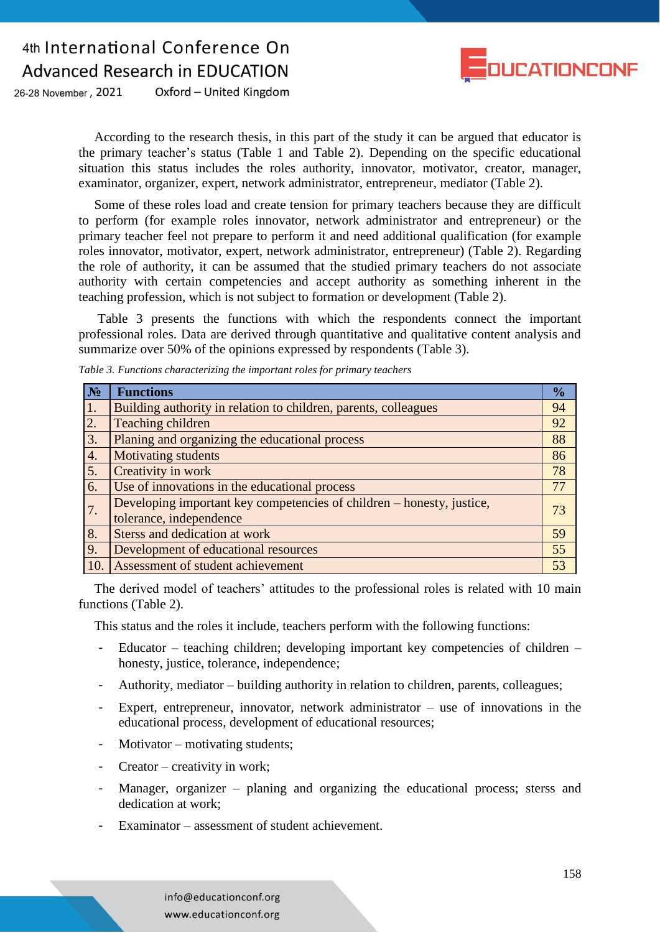

26-28 November, 2021 Oxford - United Kingdom

> According to the research thesis, in this part of the study it can be argued that educator is the primary teacher's status (Table 1 and Table 2). Depending on the specific educational situation this status includes the roles authority, innovator, motivator, creator, manager, examinator, organizer, expert, network administrator, entrepreneur, mediator (Table 2).

> Some of these roles load and create tension for primary teachers because they are difficult to perform (for example roles innovator, network administrator and entrepreneur) or the primary teacher feel not prepare to perform it and need additional qualification (for example roles innovator, motivator, expert, network administrator, entrepreneur) (Table 2). Regarding the role of authority, it can be assumed that the studied primary teachers do not associate authority with certain competencies and accept authority as something inherent in the teaching profession, which is not subject to formation or development (Table 2).

> Table 3 presents the functions with which the respondents connect the important professional roles. Data are derived through quantitative and qualitative content analysis and summarize over 50% of the opinions expressed by respondents (Table 3).

| N <sub>2</sub> | <b>Functions</b>                                                      | $\frac{1}{2}$ |
|----------------|-----------------------------------------------------------------------|---------------|
| 1.             | Building authority in relation to children, parents, colleagues       | 94            |
| 2.             | Teaching children                                                     | 92            |
| 3.             | Planing and organizing the educational process                        | 88            |
| 4.             | Motivating students                                                   | 86            |
| 5.             | Creativity in work                                                    | 78            |
| 6.             | Use of innovations in the educational process                         | 77            |
| 7.             | Developing important key competencies of children – honesty, justice, | 73            |
|                | tolerance, independence                                               |               |
| 8.             | Sterss and dedication at work                                         | 59            |
| 9.             | Development of educational resources                                  | 55            |
| 10.            | Assessment of student achievement                                     | 53            |

*Table 3. Functions characterizing the important roles for primary teachers*

The derived model of teachers' attitudes to the professional roles is related with 10 main functions (Table 2).

This status and the roles it include, teachers perform with the following functions:

- Educator teaching children; developing important key competencies of children honesty, justice, tolerance, independence;
- Authority, mediator building authority in relation to children, parents, colleagues;
- Expert, entrepreneur, innovator, network administrator  $-$  use of innovations in the educational process, development of educational resources;
- $Motivator motivating students;$
- Creator creativity in work;
- Manager, organizer planing and organizing the educational process; sterss and dedication at work;
- Examinator assessment of student achievement.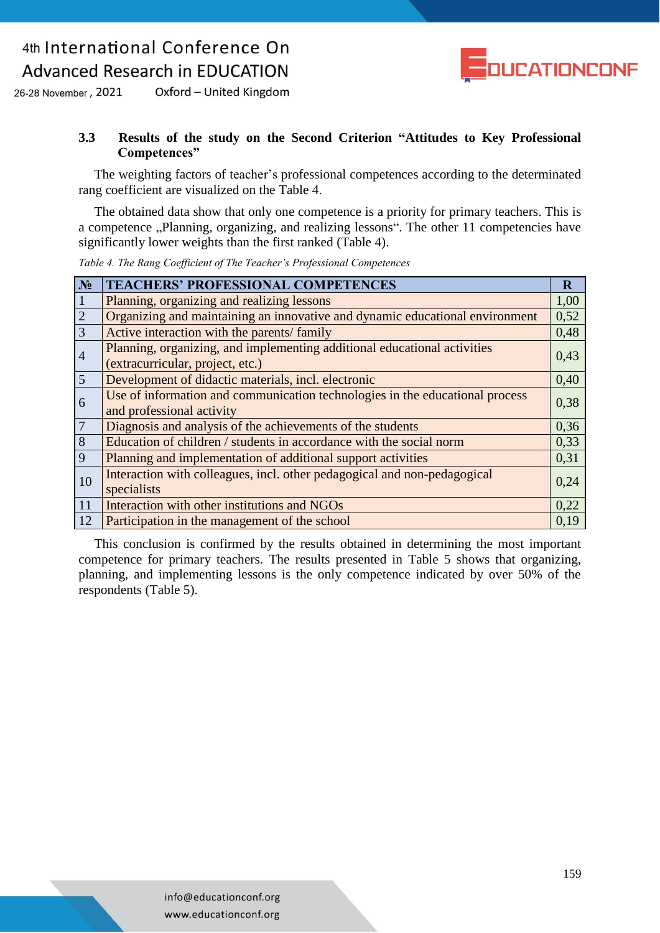

Oxford - United Kingdom 26-28 November, 2021

#### **3.3 Results of the study on the Second Criterion "Attitudes to Key Professional Competences"**

The weighting factors of teacher's professional competences according to the determinated rang coefficient are visualized on the Table 4.

The obtained data show that only one competence is a priority for primary teachers. This is a competence "Planning, organizing, and realizing lessons". The other 11 competencies have significantly lower weights than the first ranked (Table 4).

| $N_2$          | <b>TEACHERS' PROFESSIONAL COMPETENCES</b>                                                                    | $\mathbf{R}$ |
|----------------|--------------------------------------------------------------------------------------------------------------|--------------|
|                | Planning, organizing and realizing lessons                                                                   | 1,00         |
| $\frac{1}{2}$  | Organizing and maintaining an innovative and dynamic educational environment                                 | 0,52         |
|                | Active interaction with the parents/ family                                                                  | 0,48         |
| $\overline{4}$ | Planning, organizing, and implementing additional educational activities<br>(extracurricular, project, etc.) | 0,43         |
| $\overline{5}$ | Development of didactic materials, incl. electronic                                                          | 0,40         |
| 6              | Use of information and communication technologies in the educational process<br>and professional activity    | 0,38         |
| $\overline{7}$ | Diagnosis and analysis of the achievements of the students                                                   | 0,36         |
| $\sqrt{8}$     | Education of children / students in accordance with the social norm                                          | 0,33         |
| $\overline{9}$ | Planning and implementation of additional support activities                                                 | 0,31         |
| 10             | Interaction with colleagues, incl. other pedagogical and non-pedagogical<br>specialists                      | 0,24         |
| 11             | Interaction with other institutions and NGOs                                                                 | 0,22         |
| 12             | Participation in the management of the school                                                                | 0,19         |

*Table 4. The Rang Coefficient of The Teacher's Professional Competences*

This conclusion is confirmed by the results obtained in determining the most important competence for primary teachers. Тhe results presented in Table 5 shows that organizing, planning, and implementing lessons is the only competence indicated by over 50% of the respondents (Table 5).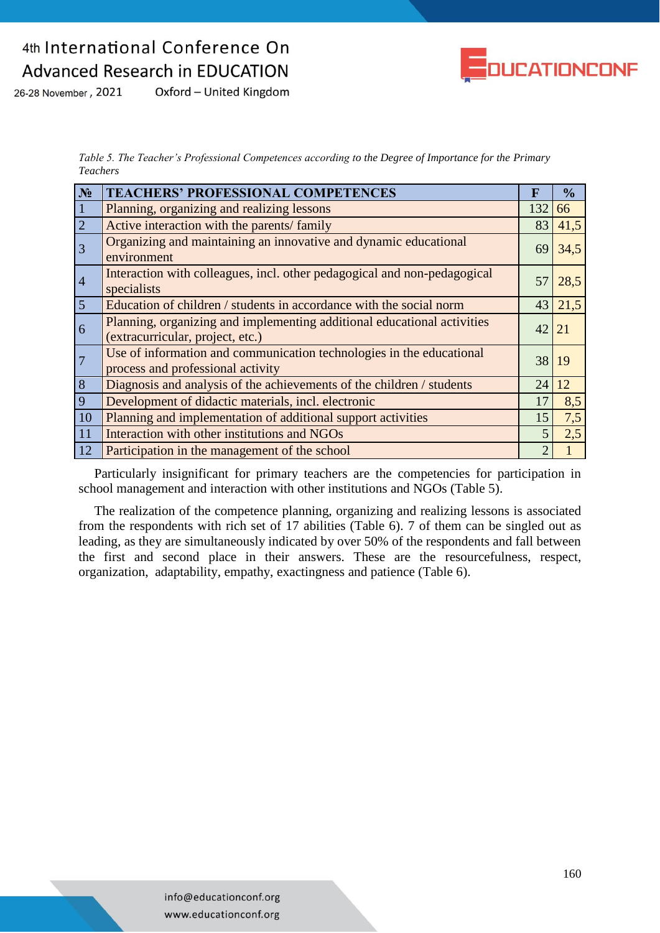

Oxford - United Kingdom 26-28 November, 2021

> *Table 5. The Teacher's Professional Competences according to the Degree of Importance for the Primary Teachers*

| $N_2$          | <b>TEACHERS' PROFESSIONAL COMPETENCES</b>                                                                   | $\mathbf F$ | $\frac{0}{0}$ |
|----------------|-------------------------------------------------------------------------------------------------------------|-------------|---------------|
|                | Planning, organizing and realizing lessons                                                                  | 132         | 66            |
| $\overline{2}$ | Active interaction with the parents/ family                                                                 | 83          | 41,5          |
| 3              | Organizing and maintaining an innovative and dynamic educational<br>environment                             | 69          | 34,5          |
| $\overline{4}$ | Interaction with colleagues, incl. other pedagogical and non-pedagogical<br>specialists                     | 57          | 28,5          |
| $\overline{5}$ | Education of children / students in accordance with the social norm                                         | 43          | 21,5          |
| 6              | Planning, organizing and implementing additional educational activities<br>(extracurricular, project, etc.) | 42 21       |               |
| $\overline{7}$ | Use of information and communication technologies in the educational<br>process and professional activity   | 38          | 19            |
| 8              | Diagnosis and analysis of the achievements of the children / students                                       | 24          | 12            |
| 9              | Development of didactic materials, incl. electronic                                                         | 17          | 8,5           |
| 10             | Planning and implementation of additional support activities                                                | 15          | 7,5           |
| 11             | Interaction with other institutions and NGOs                                                                | 5           | 2,5           |
| 12             | Participation in the management of the school                                                               |             |               |

Particularly insignificant for primary teachers are the competencies for participation in school management and interaction with other institutions and NGOs (Table 5).

The realization of the competence planning, organizing and realizing lessons is associated from the respondents with rich set of 17 abilities (Table 6). 7 of them can be singled out as leading, as they are simultaneously indicated by over 50% of the respondents and fall between the first and second place in their answers. These are the resourcefulness, respect, organization, adaptability, empathy, exactingness and patience (Table 6).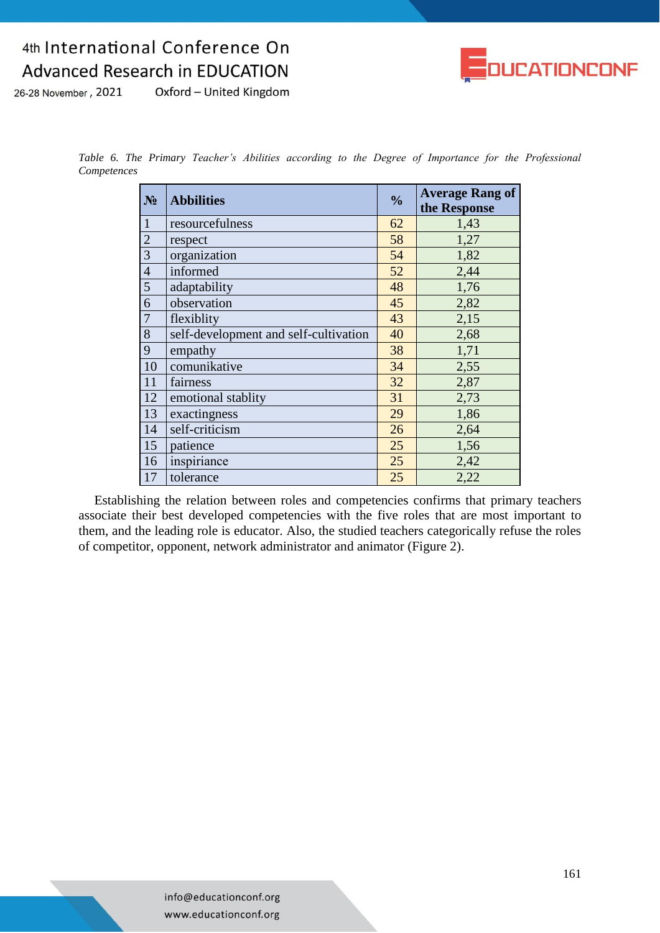

Oxford - United Kingdom 26-28 November, 2021

> *Table 6. The Primary Teacher's Abilities according to the Degree of Importance for the Professional Competences*

| $N_2$          | <b>Abbilities</b>                     | $\frac{0}{0}$ | <b>Average Rang of</b><br>the Response |
|----------------|---------------------------------------|---------------|----------------------------------------|
| $\mathbf{1}$   | resourcefulness                       | 62            | 1,43                                   |
| $\sqrt{2}$     | respect                               | 58            | 1,27                                   |
| $\overline{3}$ | organization                          | 54            | 1,82                                   |
| $\overline{4}$ | informed                              | 52            | 2,44                                   |
| 5              | adaptability                          | 48            | 1,76                                   |
| 6              | observation                           | 45            | 2,82                                   |
| 7              | flexiblity                            | 43            | 2,15                                   |
| 8              | self-development and self-cultivation | 40            | 2,68                                   |
| 9              | empathy                               | 38            | 1,71                                   |
| 10             | comunikative                          | 34            | 2,55                                   |
| 11             | fairness                              | 32            | 2,87                                   |
| 12             | emotional stablity                    | 31            | 2,73                                   |
| 13             | exactingness                          | 29            | 1,86                                   |
| 14             | self-criticism                        | 26            | 2,64                                   |
| 15             | patience                              | 25            | 1,56                                   |
| 16             | inspiriance                           | 25            | 2,42                                   |
| 17             | tolerance                             | 25            | 2,22                                   |

Establishing the relation between roles and competencies confirms that primary teachers associate their best developed competencies with the five roles that are most important to them, and the leading role is educator. Also, the studied teachers categorically refuse the roles of competitor, opponent, network administrator and animator (Figure 2).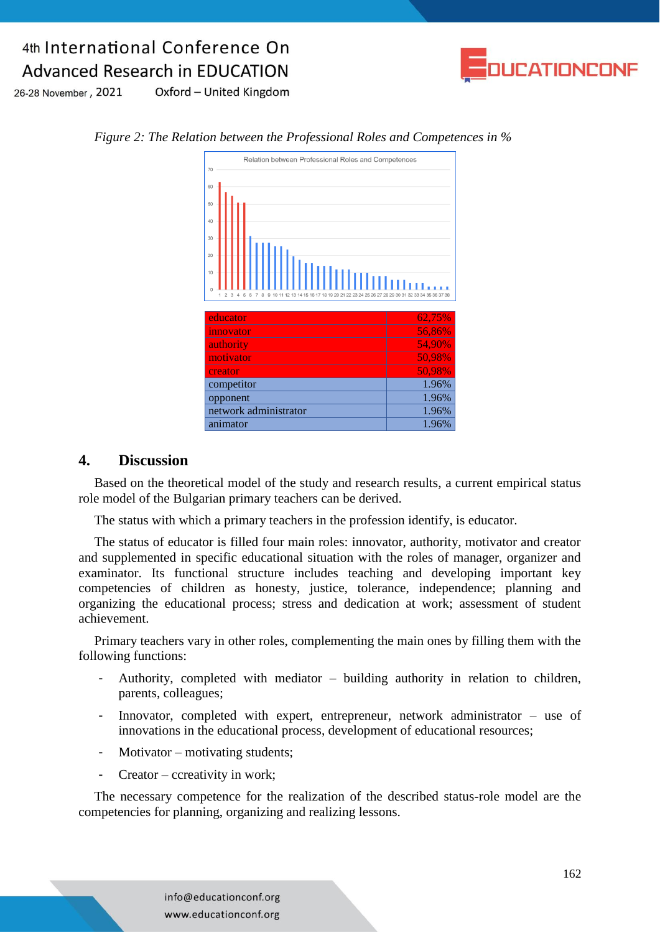

26-28 November, 2021 Oxford - United Kingdom



#### *Figure 2: The Relation between the Professional Roles and Competences in %*

#### **4. Discussion**

Based on the theoretical model of the study and research results, a current empirical status role model of the Bulgarian primary teachers can be derived.

The status with which a primary teachers in the profession identify, is educator.

The status of educator is filled four main roles: innovator, authority, motivator and creator and supplemented in specific educational situation with the roles of manager, organizer and examinator. Its functional structure includes teaching and developing important key competencies of children as honesty, justice, tolerance, independence; planning and organizing the educational process; stress and dedication at work; assessment of student achievement.

Primary teachers vary in other roles, complementing the main ones by filling them with the following functions:

- Authority, completed with mediator building authority in relation to children, parents, colleagues;
- Innovator, completed with expert, entrepreneur, network administrator  $-$  use of innovations in the educational process, development of educational resources;
- Motivator motivating students;
- Creator ccreativity in work;

The necessary competence for the realization of the described status-role model are the competencies for planning, organizing and realizing lessons.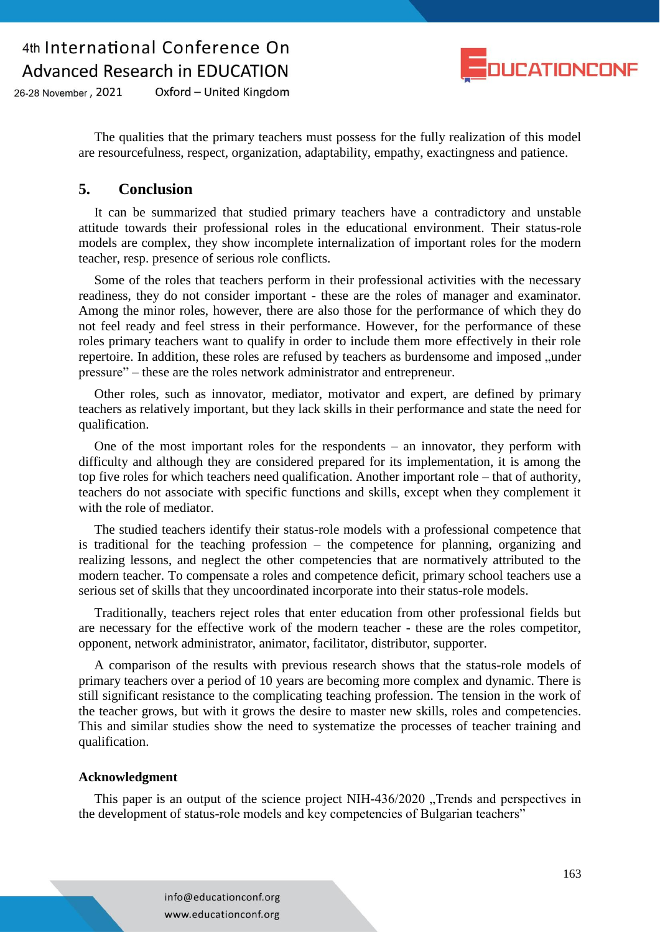

26-28 November, 2021 Oxford - United Kingdom

> The qualities that the primary teachers must possess for the fully realization of this model are resourcefulness, respect, organization, adaptability, empathy, exactingness and patience.

#### **5. Conclusion**

It can be summarized that studied primary teachers have a contradictory and unstable attitude towards their professional roles in the educational environment. Their status-role models are complex, they show incomplete internalization of important roles for the modern teacher, resp. presence of serious role conflicts.

Some of the roles that teachers perform in their professional activities with the necessary readiness, they do not consider important - these are the roles of manager and examinator. Among the minor roles, however, there are also those for the performance of which they do not feel ready and feel stress in their performance. However, for the performance of these roles primary teachers want to qualify in order to include them more effectively in their role repertoire. In addition, these roles are refused by teachers as burdensome and imposed "under pressure" – these are the roles network administrator and entrepreneur.

Other roles, such as innovator, mediator, motivator and expert, are defined by primary teachers as relatively important, but they lack skills in their performance and state the need for qualification.

One of the most important roles for the respondents – an innovator, they perform with difficulty and although they are considered prepared for its implementation, it is among the top five roles for which teachers need qualification. Another important role – that of authority, teachers do not associate with specific functions and skills, except when they complement it with the role of mediator.

The studied teachers identify their status-role models with a professional competence that is traditional for the teaching profession – the competence for planning, organizing and realizing lessons, and neglect the other competencies that are normatively attributed to the modern teacher. To compensate a roles and competence deficit, primary school teachers use a serious set of skills that they uncoordinated incorporate into their status-role models.

Traditionally, teachers reject roles that enter education from other professional fields but are necessary for the effective work of the modern teacher - these are the roles competitor, opponent, network administrator, animator, facilitator, distributor, supporter.

A comparison of the results with previous research shows that the status-role models of primary teachers over a period of 10 years are becoming more complex and dynamic. There is still significant resistance to the complicating teaching profession. The tension in the work of the teacher grows, but with it grows the desire to master new skills, roles and competencies. This and similar studies show the need to systematize the processes of teacher training and qualification.

#### **Acknowledgment**

This paper is an output of the science project NIH-436/2020 "Trends and perspectives in the development of status-role models and key competencies of Bulgarian teachers"